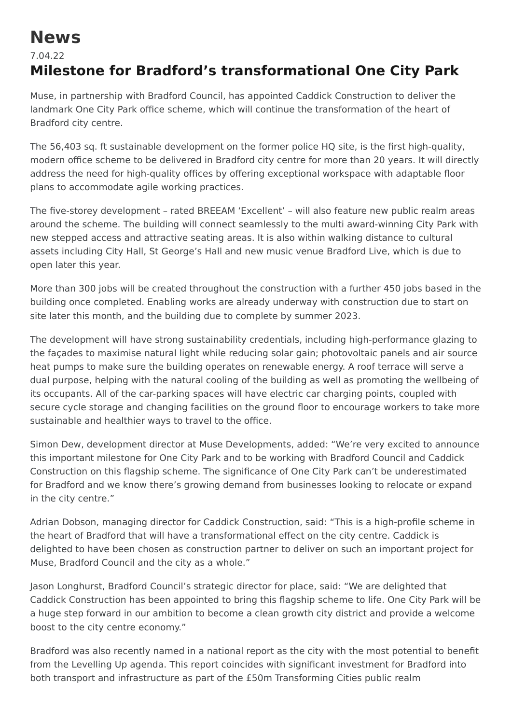## **News**

## 7.04.22 **Milestone for Bradford's transformational One City Park**

Muse, in partnership with Bradford Council, has appointed Caddick Construction to deliver the landmark One City Park office scheme, which will continue the transformation of the heart of Bradford city centre.

The 56,403 sq. ft sustainable development on the former police HQ site, is the first high-quality, modern office scheme to be delivered in Bradford city centre for more than 20 years. It will directly address the need for high-quality offices by offering exceptional workspace with adaptable floor plans to accommodate agile working practices.

The five-storey development – rated BREEAM 'Excellent' – will also feature new public realm areas around the scheme. The building will connect seamlessly to the multi award-winning City Park with new stepped access and attractive seating areas. It is also within walking distance to cultural assets including City Hall, St George's Hall and new music venue Bradford Live, which is due to open later this year.

More than 300 jobs will be created throughout the construction with a further 450 jobs based in the building once completed. Enabling works are already underway with construction due to start on site later this month, and the building due to complete by summer 2023.

The development will have strong sustainability credentials, including high-performance glazing to the façades to maximise natural light while reducing solar gain; photovoltaic panels and air source heat pumps to make sure the building operates on renewable energy. A roof terrace will serve a dual purpose, helping with the natural cooling of the building as well as promoting the wellbeing of its occupants. All of the car-parking spaces will have electric car charging points, coupled with secure cycle storage and changing facilities on the ground floor to encourage workers to take more sustainable and healthier ways to travel to the office.

Simon Dew, development director at Muse Developments, added: "We're very excited to announce this important milestone for One City Park and to be working with Bradford Council and Caddick Construction on this flagship scheme. The significance of One City Park can't be underestimated for Bradford and we know there's growing demand from businesses looking to relocate or expand in the city centre."

Adrian Dobson, managing director for Caddick Construction, said: "This is a high-profile scheme in the heart of Bradford that will have a transformational effect on the city centre. Caddick is delighted to have been chosen as construction partner to deliver on such an important project for Muse, Bradford Council and the city as a whole."

Jason Longhurst, Bradford Council's strategic director for place, said: "We are delighted that Caddick Construction has been appointed to bring this flagship scheme to life. One City Park will be a huge step forward in our ambition to become a clean growth city district and provide a welcome boost to the city centre economy."

Bradford was also recently named in a national report as the city with the most potential to benefit from the Levelling Up agenda. This report coincides with significant investment for Bradford into both transport and infrastructure as part of the £50m Transforming Cities public realm